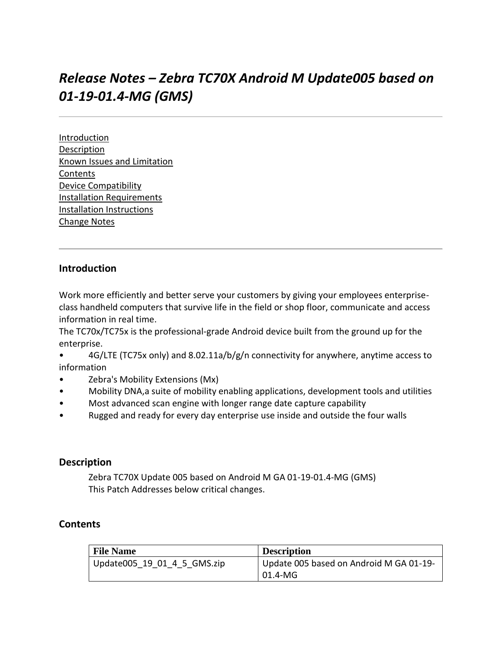# *Release Notes – Zebra TC70X Android M Update005 based on 01-19-01.4-MG (GMS)*

[Introduction](#page-0-0) [Description](#page-0-1) [Known Issues and Limitation](#page-0-2) [Contents](#page-0-2) [Device Compatibility](#page-2-0) [Installation Requirements](#page-2-1) [Installation Instructions](#page-2-2) [Change Notes](#page-5-0)

# <span id="page-0-0"></span>**Introduction**

Work more efficiently and better serve your customers by giving your employees enterpriseclass handheld computers that survive life in the field or shop floor, communicate and access information in real time.

The TC70x/TC75x is the professional-grade Android device built from the ground up for the enterprise.

• 4G/LTE (TC75x only) and 8.02.11a/b/g/n connectivity for anywhere, anytime access to information

- Zebra's Mobility Extensions (Mx)
- Mobility DNA,a suite of mobility enabling applications, development tools and utilities
- Most advanced scan engine with longer range date capture capability
- Rugged and ready for every day enterprise use inside and outside the four walls

#### <span id="page-0-1"></span>**Description**

Zebra TC70X Update 005 based on Android M GA 01-19-01.4-MG (GMS) This Patch Addresses below critical changes.

#### <span id="page-0-2"></span>**Contents**

| <b>File Name</b>            | <b>Description</b>                      |
|-----------------------------|-----------------------------------------|
| Update005 19_01_4_5_GMS.zip | Update 005 based on Android M GA 01-19- |
|                             | l 01.4-MG                               |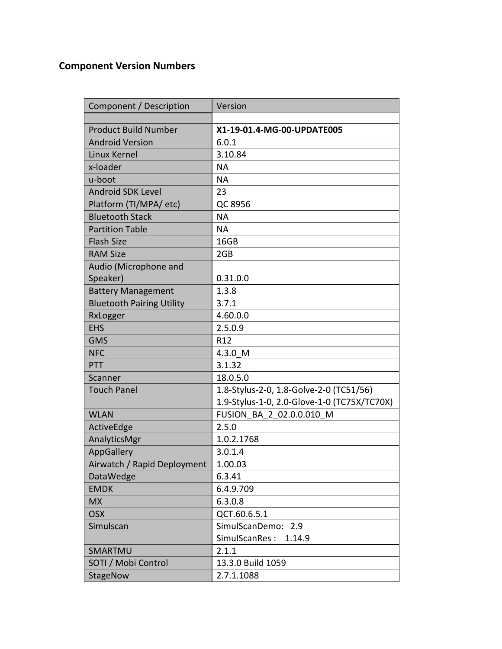# **Component Version Numbers**

| Component / Description          | Version                                     |
|----------------------------------|---------------------------------------------|
|                                  |                                             |
| <b>Product Build Number</b>      | X1-19-01.4-MG-00-UPDATE005                  |
| <b>Android Version</b>           | 6.0.1                                       |
| Linux Kernel                     | 3.10.84                                     |
| x-loader                         | <b>NA</b>                                   |
| u-boot                           | <b>NA</b>                                   |
| <b>Android SDK Level</b>         | 23                                          |
| Platform (TI/MPA/ etc)           | QC 8956                                     |
| <b>Bluetooth Stack</b>           | <b>NA</b>                                   |
| <b>Partition Table</b>           | <b>NA</b>                                   |
| <b>Flash Size</b>                | 16GB                                        |
| <b>RAM Size</b>                  | 2GB                                         |
| Audio (Microphone and            |                                             |
| Speaker)                         | 0.31.0.0                                    |
| <b>Battery Management</b>        | 1.3.8                                       |
| <b>Bluetooth Pairing Utility</b> | 3.7.1                                       |
| RxLogger                         | 4.60.0.0                                    |
| <b>EHS</b>                       | 2.5.0.9                                     |
| <b>GMS</b>                       | R <sub>12</sub>                             |
| <b>NFC</b>                       | 4.3.0 M                                     |
| PTT                              | 3.1.32                                      |
| Scanner                          | 18.0.5.0                                    |
| <b>Touch Panel</b>               | 1.8-Stylus-2-0, 1.8-Golve-2-0 (TC51/56)     |
|                                  | 1.9-Stylus-1-0, 2.0-Glove-1-0 (TC75X/TC70X) |
| <b>WLAN</b>                      | FUSION BA 2 02.0.0.010 M                    |
| ActiveEdge                       | 2.5.0                                       |
| AnalyticsMgr                     | 1.0.2.1768                                  |
| AppGallery                       | 3.0.1.4                                     |
| Airwatch / Rapid Deployment      | 1.00.03                                     |
| DataWedge                        | 6.3.41                                      |
| <b>EMDK</b>                      | 6.4.9.709                                   |
| <b>MX</b>                        | 6.3.0.8                                     |
| <b>OSX</b>                       | QCT.60.6.5.1                                |
| Simulscan                        | SimulScanDemo: 2.9                          |
|                                  | SimulScanRes:<br>1.14.9                     |
| SMARTMU                          | 2.1.1                                       |
| SOTI / Mobi Control              | 13.3.0 Build 1059                           |
| StageNow                         | 2.7.1.1088                                  |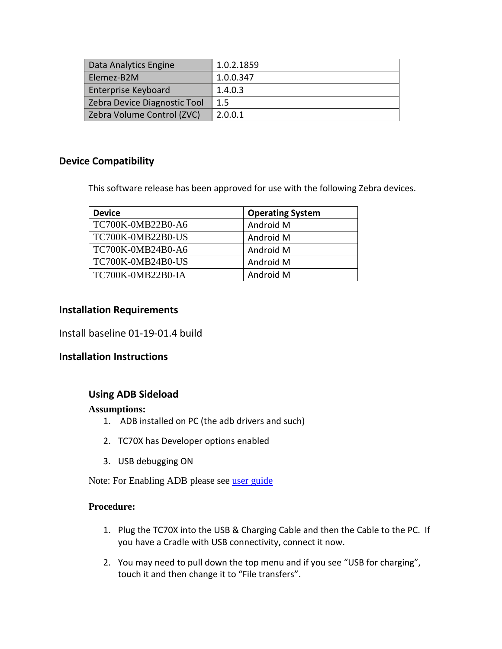| Data Analytics Engine        | 1.0.2.1859 |
|------------------------------|------------|
| Elemez-B2M                   | 1.0.0.347  |
| Enterprise Keyboard          | 1.4.0.3    |
| Zebra Device Diagnostic Tool | $1.5\,$    |
| Zebra Volume Control (ZVC)   | 2.0.0.1    |

## <span id="page-2-0"></span>**Device Compatibility**

<span id="page-2-1"></span>This software release has been approved for use with the following Zebra devices.

| <b>Device</b>     | <b>Operating System</b> |
|-------------------|-------------------------|
| TC700K-0MB22B0-A6 | Android M               |
| TC700K-0MB22B0-US | Android M               |
| TC700K-0MB24B0-A6 | Android M               |
| TC700K-0MB24B0-US | Android M               |
| TC700K-0MB22B0-IA | Android M               |

#### **Installation Requirements**

Install baseline 01-19-01.4 build

#### <span id="page-2-2"></span>**Installation Instructions**

#### **Using ADB Sideload**

#### **Assumptions:**

- 1. ADB installed on PC (the adb drivers and such)
- 2. TC70X has Developer options enabled
- 3. USB debugging ON

Note: For Enabling ADB please see [user guide](https://www.zebra.com/apps/dlmanager?dlp=-227178c9720c025483893483886ea540bd07dd0f9873752cf891686eb4950400add13410300d57b7e36119af26c348bbe651f7b5315f7bbfa1ca9aa9bfaa1e6272b59e5d9cbcd10dac34d5d1fb67b14746caaf49c506ab4&c=us&l=en)

## **Procedure:**

- 1. Plug the TC70X into the USB & Charging Cable and then the Cable to the PC. If you have a Cradle with USB connectivity, connect it now.
- 2. You may need to pull down the top menu and if you see "USB for charging", touch it and then change it to "File transfers".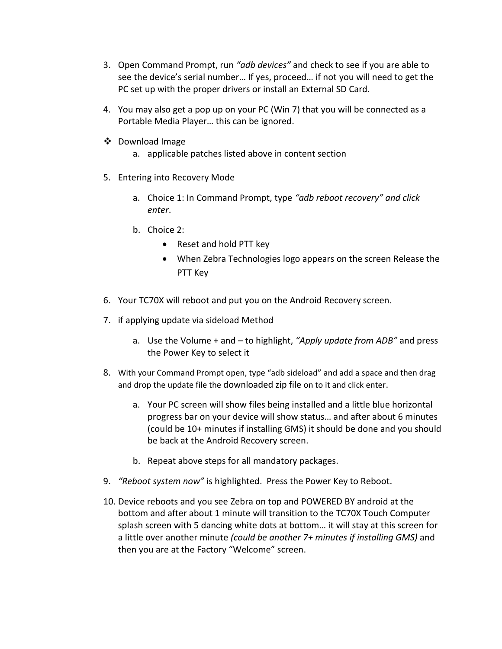- 3. Open Command Prompt, run *"adb devices"* and check to see if you are able to see the device's serial number… If yes, proceed… if not you will need to get the PC set up with the proper drivers or install an External SD Card.
- 4. You may also get a pop up on your PC (Win 7) that you will be connected as a Portable Media Player… this can be ignored.
- ❖ Download Image
	- a. applicable patches listed above in content section
- 5. Entering into Recovery Mode
	- a. Choice 1: In Command Prompt, type *"adb reboot recovery" and click enter*.
	- b. Choice 2:
		- Reset and hold PTT key
		- When Zebra Technologies logo appears on the screen Release the PTT Key
- 6. Your TC70X will reboot and put you on the Android Recovery screen.
- 7. if applying update via sideload Method
	- a. Use the Volume + and to highlight, *"Apply update from ADB"* and press the Power Key to select it
- 8. With your Command Prompt open, type "adb sideload" and add a space and then drag and drop the update file the downloaded zip file on to it and click enter.
	- a. Your PC screen will show files being installed and a little blue horizontal progress bar on your device will show status… and after about 6 minutes (could be 10+ minutes if installing GMS) it should be done and you should be back at the Android Recovery screen.
	- b. Repeat above steps for all mandatory packages.
- 9. *"Reboot system now"* is highlighted. Press the Power Key to Reboot.
- 10. Device reboots and you see Zebra on top and POWERED BY android at the bottom and after about 1 minute will transition to the TC70X Touch Computer splash screen with 5 dancing white dots at bottom… it will stay at this screen for a little over another minute *(could be another 7+ minutes if installing GMS)* and then you are at the Factory "Welcome" screen.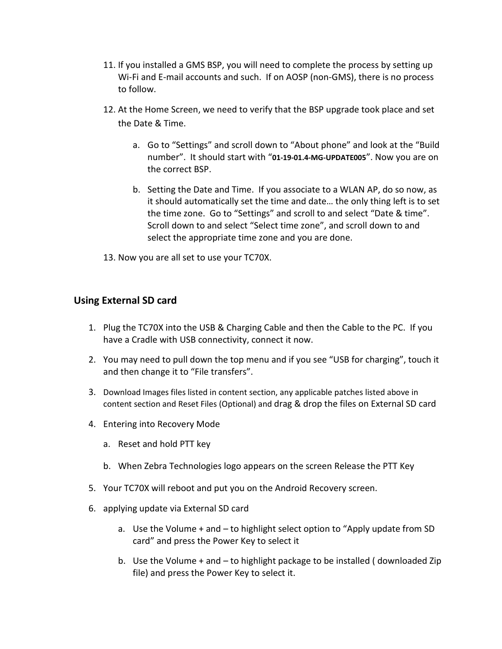- 11. If you installed a GMS BSP, you will need to complete the process by setting up Wi-Fi and E-mail accounts and such. If on AOSP (non-GMS), there is no process to follow.
- 12. At the Home Screen, we need to verify that the BSP upgrade took place and set the Date & Time.
	- a. Go to "Settings" and scroll down to "About phone" and look at the "Build number". It should start with "**01-19-01.4-MG-UPDATE005**". Now you are on the correct BSP.
	- b. Setting the Date and Time. If you associate to a WLAN AP, do so now, as it should automatically set the time and date… the only thing left is to set the time zone. Go to "Settings" and scroll to and select "Date & time". Scroll down to and select "Select time zone", and scroll down to and select the appropriate time zone and you are done.
- 13. Now you are all set to use your TC70X.

# **Using External SD card**

- 1. Plug the TC70X into the USB & Charging Cable and then the Cable to the PC. If you have a Cradle with USB connectivity, connect it now.
- 2. You may need to pull down the top menu and if you see "USB for charging", touch it and then change it to "File transfers".
- 3. Download Images files listed in content section, any applicable patches listed above in content section and Reset Files (Optional) and drag & drop the files on External SD card
- 4. Entering into Recovery Mode
	- a. Reset and hold PTT key
	- b. When Zebra Technologies logo appears on the screen Release the PTT Key
- 5. Your TC70X will reboot and put you on the Android Recovery screen.
- 6. applying update via External SD card
	- a. Use the Volume + and to highlight select option to "Apply update from SD card" and press the Power Key to select it
	- b. Use the Volume + and to highlight package to be installed ( downloaded Zip file) and press the Power Key to select it.